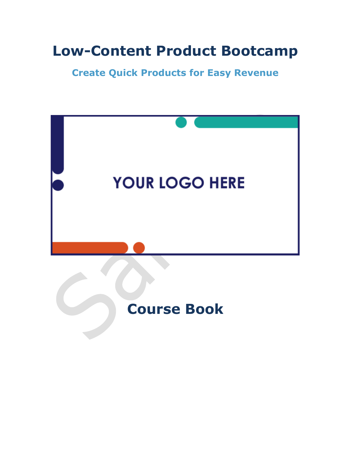## **Low-Content Product Bootcamp**

**Create Quick Products for Easy Revenue**

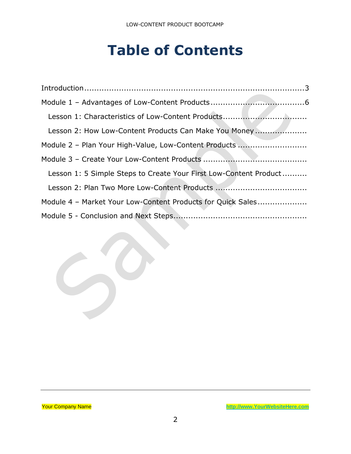# **Table of Contents**

| Lesson 2: How Low-Content Products Can Make You Money             |
|-------------------------------------------------------------------|
| Module 2 - Plan Your High-Value, Low-Content Products             |
|                                                                   |
| Lesson 1: 5 Simple Steps to Create Your First Low-Content Product |
|                                                                   |
| Module 4 - Market Your Low-Content Products for Quick Sales       |
|                                                                   |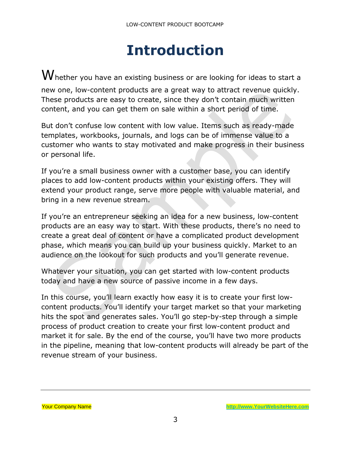## **Introduction**

<span id="page-2-0"></span> $\boldsymbol{W}$ hether you have an existing business or are looking for ideas to start a new one, low-content products are a great way to attract revenue quickly. These products are easy to create, since they don't contain much written content, and you can get them on sale within a short period of time.

But don't confuse low content with low value. Items such as ready-made templates, workbooks, journals, and logs can be of immense value to a customer who wants to stay motivated and make progress in their business or personal life.

If you're a small business owner with a customer base, you can identify places to add low-content products within your existing offers. They will extend your product range, serve more people with valuable material, and bring in a new revenue stream.

If you're an entrepreneur seeking an idea for a new business, low-content products are an easy way to start. With these products, there's no need to create a great deal of content or have a complicated product development phase, which means you can build up your business quickly. Market to an audience on the lookout for such products and you'll generate revenue.

Whatever your situation, you can get started with low-content products today and have a new source of passive income in a few days.

In this course, you'll learn exactly how easy it is to create your first lowcontent products. You'll identify your target market so that your marketing hits the spot and generates sales. You'll go step-by-step through a simple process of product creation to create your first low-content product and market it for sale. By the end of the course, you'll have two more products in the pipeline, meaning that low-content products will already be part of the revenue stream of your business.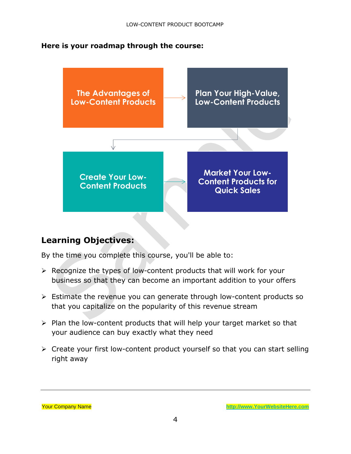#### **Here is your roadmap through the course:**



#### **Learning Objectives:**

By the time you complete this course, you'll be able to:

- ➢ Recognize the types of low-content products that will work for your business so that they can become an important addition to your offers
- ➢ Estimate the revenue you can generate through low-content products so that you capitalize on the popularity of this revenue stream
- ➢ Plan the low-content products that will help your target market so that your audience can buy exactly what they need
- ➢ Create your first low-content product yourself so that you can start selling right away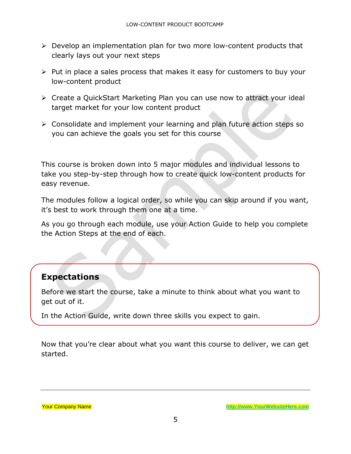- ➢ Develop an implementation plan for two more low-content products that clearly lays out your next steps
- ➢ Put in place a sales process that makes it easy for customers to buy your low-content product
- ➢ Create a QuickStart Marketing Plan you can use now to attract your ideal target market for your low content product
- ➢ Consolidate and implement your learning and plan future action steps so you can achieve the goals you set for this course

This course is broken down into 5 major modules and individual lessons to take you step-by-step through how to create quick low-content products for easy revenue.

The modules follow a logical order, so while you can skip around if you want, it's best to work through them one at a time.

As you go through each module, use your Action Guide to help you complete the Action Steps at the end of each.

#### **Expectations**

Before we start the course, take a minute to think about what you want to get out of it.

In the Action Guide, write down three skills you expect to gain.

Now that you're clear about what you want this course to deliver, we can get started.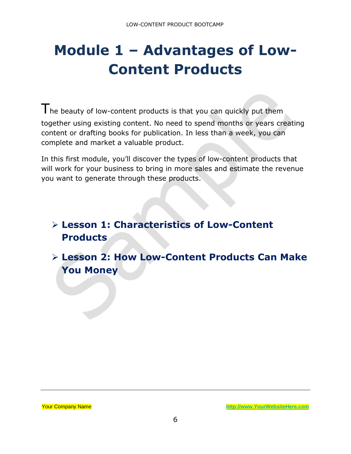# <span id="page-5-0"></span>**Module 1 – Advantages of Low-Content Products**

The beauty of low-content products is that you can quickly put them together using existing content. No need to spend months or years creating content or drafting books for publication. In less than a week, you can complete and market a valuable product.

In this first module, you'll discover the types of low-content products that will work for your business to bring in more sales and estimate the revenue you want to generate through these products.

### ➢ **Lesson 1: Characteristics of Low-Content Products**

➢ **Lesson 2: How Low-Content Products Can Make You Money**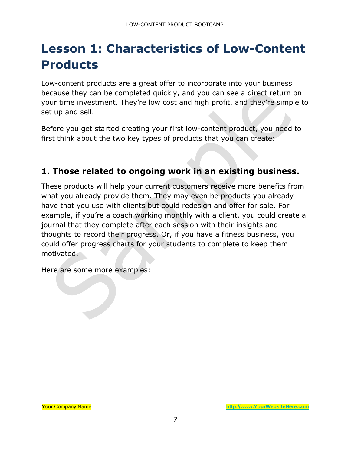### <span id="page-6-0"></span>**Lesson 1: Characteristics of Low-Content Products**

Low-content products are a great offer to incorporate into your business because they can be completed quickly, and you can see a direct return on your time investment. They're low cost and high profit, and they're simple to set up and sell.

Before you get started creating your first low-content product, you need to first think about the two key types of products that you can create:

### **1. Those related to ongoing work in an existing business.**

These products will help your current customers receive more benefits from what you already provide them. They may even be products you already have that you use with clients but could redesign and offer for sale. For example, if you're a coach working monthly with a client, you could create a journal that they complete after each session with their insights and thoughts to record their progress. Or, if you have a fitness business, you could offer progress charts for your students to complete to keep them motivated.

Here are some more examples: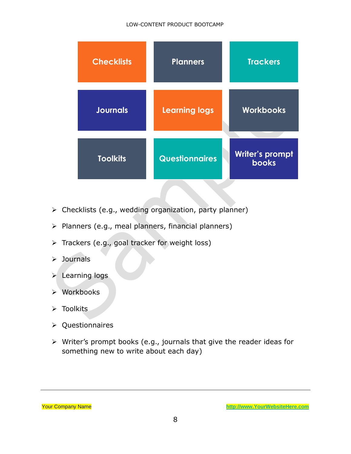#### LOW-CONTENT PRODUCT BOOTCAMP

| <b>Checklists</b> | <b>Planners</b>       | <b>Trackers</b>                 |
|-------------------|-----------------------|---------------------------------|
| <b>Journals</b>   | <b>Learning logs</b>  | <b>Workbooks</b>                |
| <b>Toolkits</b>   | <b>Questionnaires</b> | Writer's prompt<br><b>books</b> |

- ➢ Checklists (e.g., wedding organization, party planner)
- ➢ Planners (e.g., meal planners, financial planners)
- ➢ Trackers (e.g., goal tracker for weight loss)
- ➢ Journals
- ➢ Learning logs
- ➢ Workbooks
- ➢ Toolkits
- ➢ Questionnaires
- ➢ Writer's prompt books (e.g., journals that give the reader ideas for something new to write about each day)